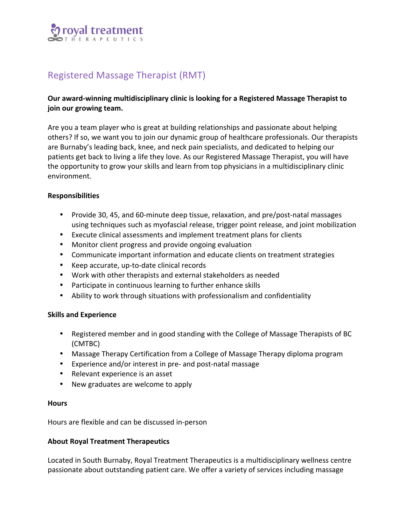

# Registered Massage Therapist (RMT)

# Our award-winning multidisciplinary clinic is looking for a Registered Massage Therapist to **join** our growing team.

Are you a team player who is great at building relationships and passionate about helping others? If so, we want you to join our dynamic group of healthcare professionals. Our therapists are Burnaby's leading back, knee, and neck pain specialists, and dedicated to helping our patients get back to living a life they love. As our Registered Massage Therapist, you will have the opportunity to grow your skills and learn from top physicians in a multidisciplinary clinic environment. 

# **Responsibilities**

- Provide 30, 45, and 60-minute deep tissue, relaxation, and pre/post-natal massages using techniques such as myofascial release, trigger point release, and joint mobilization
- Execute clinical assessments and implement treatment plans for clients
- Monitor client progress and provide ongoing evaluation
- Communicate important information and educate clients on treatment strategies
- Keep accurate, up-to-date clinical records
- Work with other therapists and external stakeholders as needed
- Participate in continuous learning to further enhance skills
- Ability to work through situations with professionalism and confidentiality

## **Skills and Experience**

- Registered member and in good standing with the College of Massage Therapists of BC (CMTBC)
- Massage Therapy Certification from a College of Massage Therapy diploma program
- Experience and/or interest in pre- and post-natal massage
- Relevant experience is an asset
- New graduates are welcome to apply

#### **Hours**

Hours are flexible and can be discussed in-person

## **About Royal Treatment Therapeutics**

Located in South Burnaby, Royal Treatment Therapeutics is a multidisciplinary wellness centre passionate about outstanding patient care. We offer a variety of services including massage